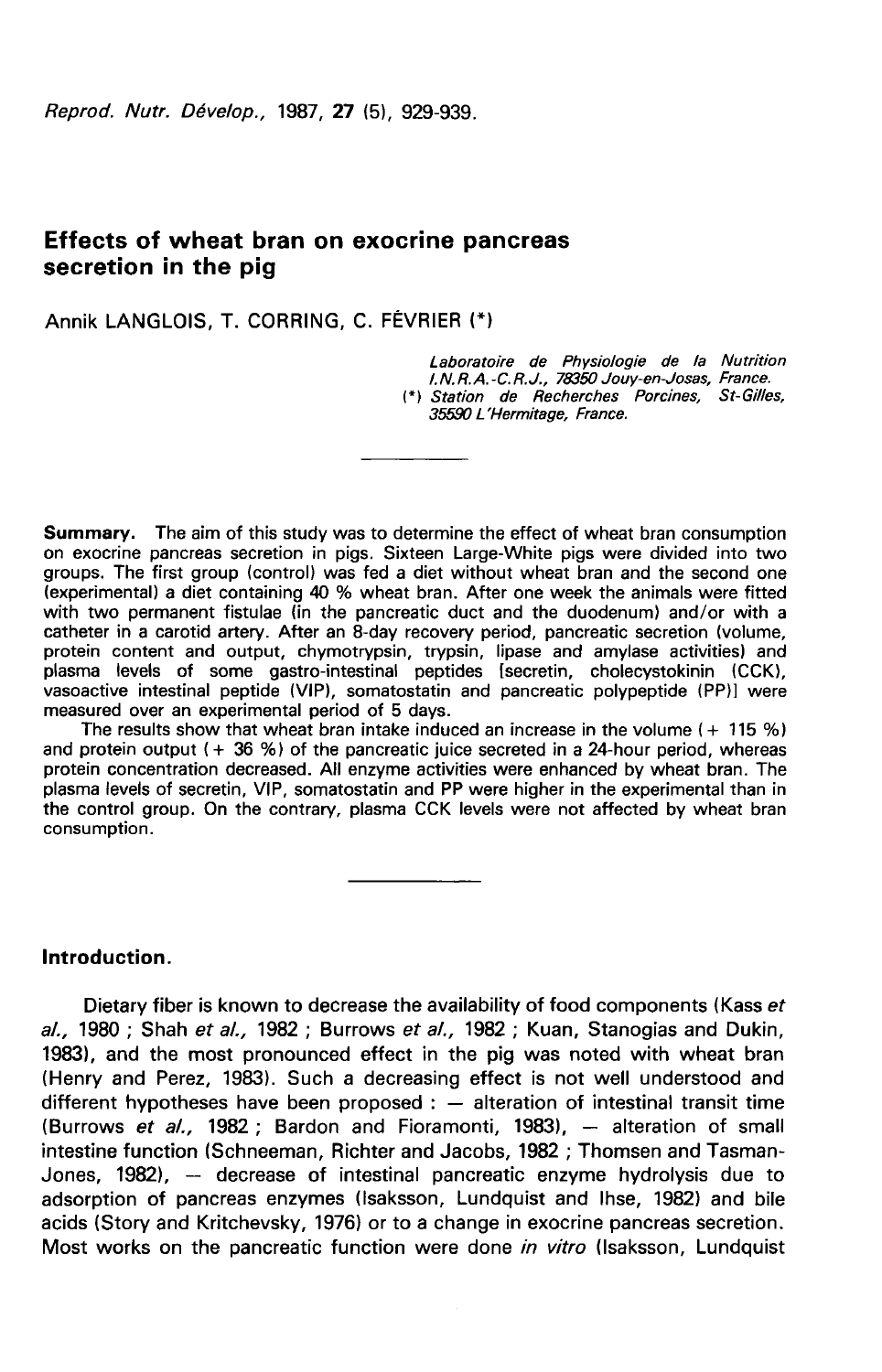# Effects of wheat bran on exocrine pancreas secretion in the pig

Annik LANGLOIS, T. CORRING, C. FÉVRIER (\*)

Laboratoire de Physiologie de la Nutrition l. N. R. A. -C. R. J., 78350 Jouy-en-Josas, France. (\*) Station de Recherches Porcines, St-Gilles, 35590 L'Hermitage, France.

Summary. The aim of this study was to determine the effect of wheat bran consumption on exocrine pancreas secretion in pigs. Sixteen Large-White pigs were divided into two groups. The first group (control) was fed a diet without wheat bran and the second one (experimental) a diet containing 40 % wheat bran. After one week the animals were fitted with two permanent fistulae (in the pancreatic duct and the duodenum) and/or with a catheter in a carotid artery. After an 8-day recovery period, pancreatic secretion (volume, protein content and output, chymotrypsin, trypsin, lipase and amylase activities) and plasma levels of some gastro-intestinal peptides [secretin, cholecystokinin (CCK), vasoactive intestinal peptide (VIP), somatostatin and pancreatic polypeptide (PP)] were measured over an experimental period of 5 days.

The results show that wheat bran intake induced an increase in the volume  $(+115\%)$ and protein output  $(+ 36 %)$  of the pancreatic juice secreted in a 24-hour period, whereas protein concentration decreased. All enzyme activities were enhanced by wheat bran. The plasma levels of secretin, VIP, somatostatin and PP were higher in the experimental than in the control group. On the contrary, plasma CCK levels were not affected by wheat bran consumption.

Introduction.

Dietary fiber is known to decrease the availability of food components (Kass et  $al.$ , 1980; Shah et  $al.$ , 1982; Burrows et  $al.$ , 1982; Kuan, Stanogias and Dukin, 1983), and the most pronounced effect in the pig was noted with wheat bran (Henry and Perez, 1983). Such a decreasing effect is not well understood and different hypotheses have been proposed :  $-$  alteration of intestinal transit time (Burrows et al., 1982; Bardon and Fioramonti, 1983), - alteration of small intestine function (Schneeman, Richter and Jacobs, 1982 ; Thomsen and Tasman-Jones, 1982), - decrease of intestinal pancreatic enzyme hydrolysis due to adsorption of pancreas enzymes (lsaksson, Lundquist and lhse, 1982) and bile acids (Story and Kritchevsky, 1976) or to a change in exocrine pancreas secretion. Most works on the pancreatic function were done in vitro (Isaksson, Lundquist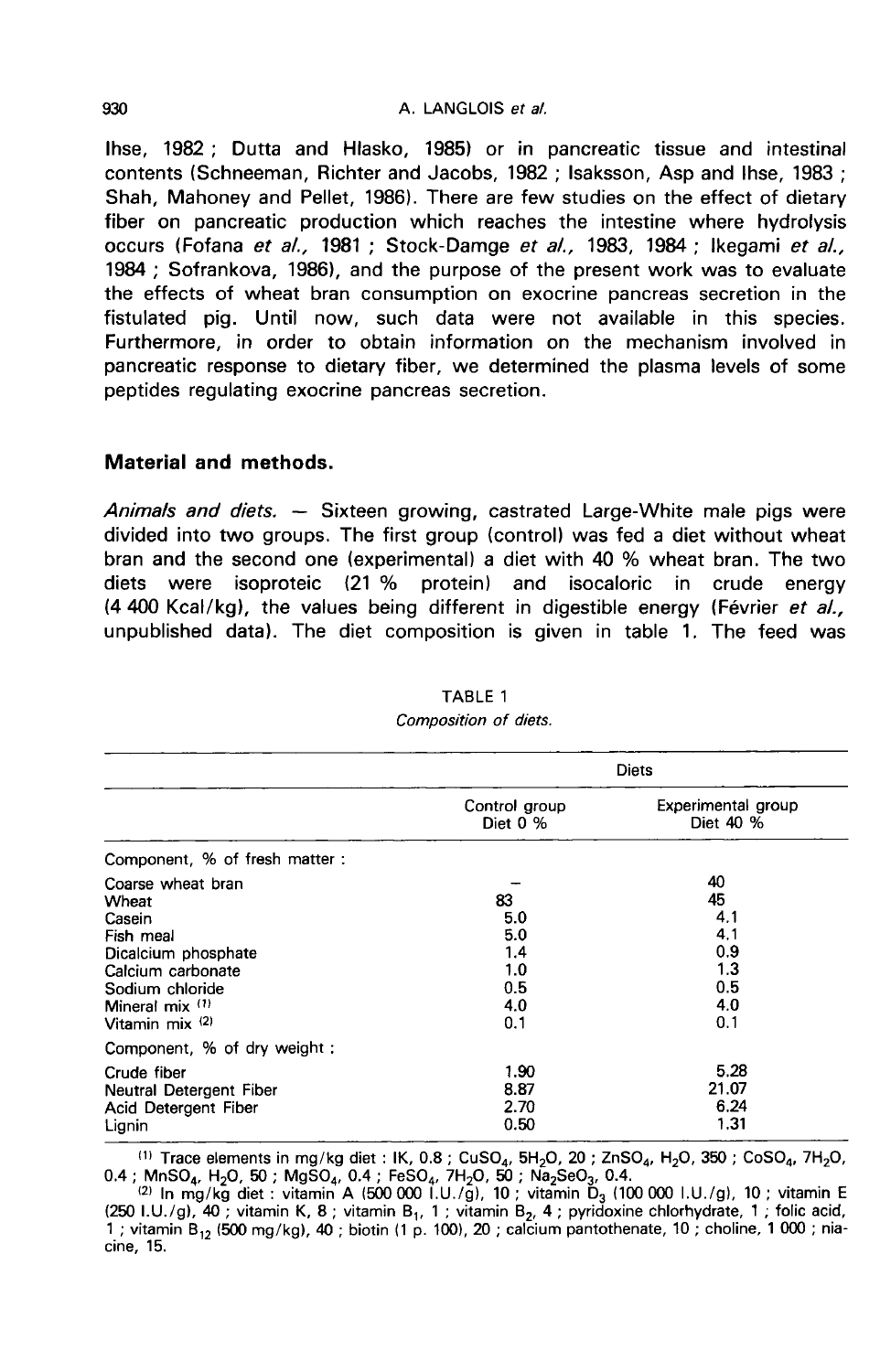#### A. LANGLOIS et al.

Ihse, 1982 ; Dutta and Hlasko, 1985) or in pancreatic tissue and intestinal contents (Schneeman, Richter and Jacobs, 1982 ; Isaksson, Asp and lhse, 1983 ; Shah, Mahoney and Pellet, 1986). There are few studies on the effect of dietary fiber on pancreatic production which reaches the intestine where hydrolysis occurs (Fofana et al., 1981 ; Stock-Damge et al., 1983, 1984 ; Ikegami et al., 1984 ; Sofrankova, 1986), and the purpose of the present work was to evaluate the effects of wheat bran consumption on exocrine pancreas secretion in the fistulated pig. Until now, such data were not available in this species. Furthermore, in order to obtain information on the mechanism involved in pancreatic response to dietary fiber, we determined the plasma levels of some peptides regulating exocrine pancreas secretion.

## Material and methods.

Animals and diets.  $-$  Sixteen growing, castrated Large-White male pigs were divided into two groups. The first group (control) was fed a diet without wheat bran and the second one (experimental) a diet with 40 % wheat bran. The two diets were isoproteic (21 % protein) and isocaloric in crude energy diets were isoproteic (21 % protein) and isocaloric in crude energy  $(4.400$  Kcal/kg), the values being different in digestible energy (Février et al., unpublished data). The diet composition is given in table 1. The feed was

|                                                                                                                                                            | <b>Diets</b>                                        |                                                           |  |
|------------------------------------------------------------------------------------------------------------------------------------------------------------|-----------------------------------------------------|-----------------------------------------------------------|--|
|                                                                                                                                                            | Control group<br>Diet $0\%$                         | Experimental group<br>Diet 40 %                           |  |
| Component, % of fresh matter:                                                                                                                              |                                                     |                                                           |  |
| Coarse wheat bran<br>Wheat<br>Casein<br>Fish meal<br>Dicalcium phosphate<br>Calcium carbonate<br>Sodium chloride<br>Mineral $mix$ $(1)$<br>Vitamin mix (2) | 83<br>5.0<br>5.0<br>1.4<br>1.0<br>0.5<br>4.0<br>0.1 | 40<br>45<br>4.1<br>4.1<br>0.9<br>1.3<br>0.5<br>4.0<br>0.1 |  |
| Component, % of dry weight:                                                                                                                                |                                                     |                                                           |  |
| Crude fiber<br>Neutral Detergent Fiber<br>Acid Detergent Fiber<br>Lignin                                                                                   | 1.90<br>8.87<br>2.70<br>0.50                        | 5.28<br>21.07<br>6.24<br>1.31                             |  |

#### TABLE 1 Composition of diets.

<sup>(1)</sup> Trace elements in mg/kg diet : IK, 0.8 ; CuSO<sub>4</sub>, 5H<sub>2</sub>O, 20 ; ZnSO<sub>4</sub>, H<sub>2</sub>O, 350 ; CoSO<sub>4</sub>, 7H<sub>2</sub>O, 0.4 ; MnSO<sub>4</sub>, H<sub>2</sub>O, 50 ; MgSO<sub>4</sub>, 7H<sub>2</sub>O, 50 ; Ma<sub>2</sub>SeO<sub>3</sub>, 0.4.<br><sup>(2)</sup> In mg/kg diet : vitamin A (500 000 1.U./

(250 I.U./g), 40; vitamin K, 8; vitamin B<sub>1</sub>, 1; vitamin B<sub>2</sub>, 4; pyridoxine chlorhydrate, 1; folic acid, 1 ; vitamin B<sub>12</sub> (500 mg/kg), 40 ; biotin (1 p. 100), 20 ; calcium pantothenate, 10 ; choline, 1 000 ; niacine, 15.

930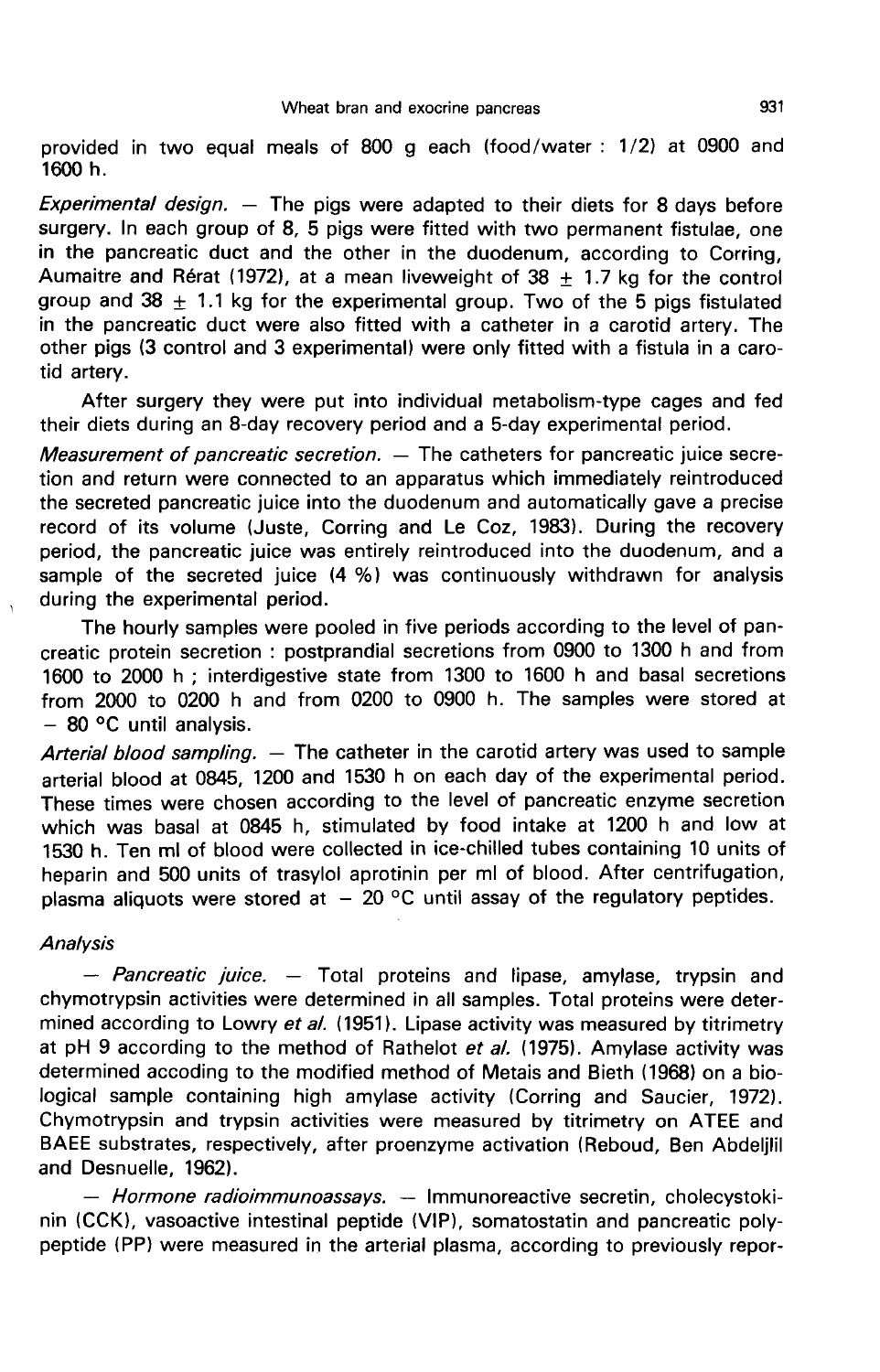provided in two equal meals of 800 g each (food/water : 1/2) at 0900 and 1600 h.

Experimental design.  $-$  The pigs were adapted to their diets for 8 days before surgery. In each group of 8, 5 pigs were fitted with two permanent fistulae, one in the pancreatic duct and the other in the duodenum, according to Corring, Aumaitre and Rérat (1972), at a mean liveweight of 38  $\pm$  1.7 kg for the control group and  $38 + 1.1$  kg for the experimental group. Two of the 5 pigs fistulated in the pancreatic duct were also fitted with a catheter in a carotid artery. The other pigs (3 control and 3 experimental) were only fitted with a fistula in a carotid artery.

After surgery they were put into individual metabolism-type cages and fed their diets during an 8-day recovery period and a 5-day experimental period.

*Measurement of pancreatic secretion.*  $-$  The catheters for pancreatic juice secretion and return were connected to an apparatus which immediately reintroduced the secreted pancreatic juice into the duodenum and automatically gave a precise record of its volume (Juste, Corring and Le Coz, 1983). During the recovery period, the pancreatic juice was entirely reintroduced into the duodenum, and a sample of the secreted juice (4 %) was continuously withdrawn for analysis during the experimental period.

The hourly samples were pooled in five periods according to the level of pancreatic protein secretion : postprandial secretions from 0900 to 1300 h and from 1600 to 2000 h ; interdigestive state from 1300 to 1600 h and basal secretions from 2000 to 0200 h and from 0200 to 0900 h. The samples were stored at  $-$  80 °C until analysis.

Arterial blood sampling. — The catheter in the carotid artery was used to sample arterial blood at 0845, 1200 and 1530 h on each day of the experimental period. These times were chosen according to the level of pancreatic enzyme secretion which was basal at 0845 h, stimulated by food intake at 1200 h and low at 1530 h. Ten ml of blood were collected in ice-chilled tubes containing 10 units of heparin and 500 units of trasylol aprotinin per ml of blood. After centrifugation, plasma aliquots were stored at  $-20$  °C until assay of the regulatory peptides.

### **Analysis**

- Pancreatic juice. - Total proteins and lipase, amylase, trypsin and chymotrypsin activities were determined in all samples. Total proteins were determined according to Lowry et al. (1951). Lipase activity was measured by titrimetry at pH 9 according to the method of Rathelot  $et al.$  (1975). Amylase activity was determined accoding to the modified method of Metais and Bieth (1968) on a biological sample containing high amylase activity (Corring and Saucier, 1972). Chymotrypsin and trypsin activities were measured by titrimetry on ATEE and BAEE substrates, respectively, after proenzyme activation (Reboud, Ben Abdeljlil and Desnuelle, 1962).

- Hormone radioimmunoassays. - Immunoreactive secretin, cholecystokinin (CCK), vasoactive intestinal peptide (VIP), somatostatin and pancreatic polypeptide (PP) were measured in the arterial plasma, according to previously repor-

931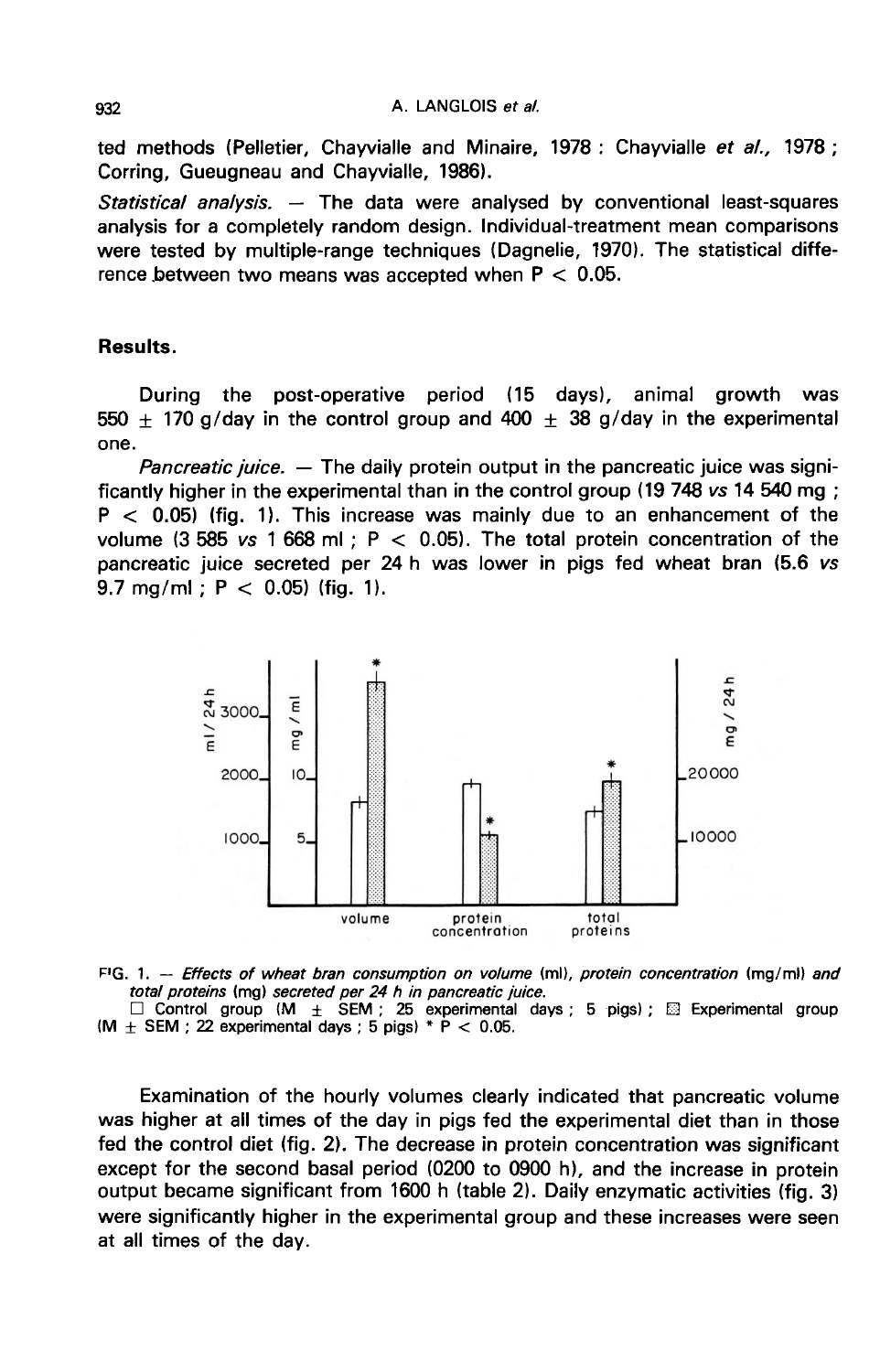ted methods (Pelletier, Chayvialle and Minaire, 1978 : Chayvialle et al., 1978 ; Corring, Gueugneau and Chayvialle, 1986).

Statistical analysis.  $-$  The data were analysed by conventional least-squares analysis for a completely random design. Individual-treatment mean comparisons were tested by multiple-range techniques (Dagnelie, 1970). The statistical difference between two means was accepted when  $P < 0.05$ .

## Results.

During the post-operative period (15 days), animal growth was  $550 + 170$  g/day in the control group and  $400 + 38$  g/day in the experimental one.

*Pancreatic juice.*  $-$  The daily protein output in the pancreatic juice was significantly higher in the experimental than in the control group (19 748 vs 14 540 mg ;  $P < 0.05$ ) (fig. 1). This increase was mainly due to an enhancement of the volume (3 585  $vs$  1 668 ml; P  $<$  0.05). The total protein concentration of the pancreatic juice secreted per 24 h was lower in pigs fed wheat bran (5.6 vs 9.7 mg/ml;  $P < 0.05$ ) (fig. 1).



FIG. 1. -- Effects of wheat bran consumption on volume (ml), protein concentration (mg/ml) and total proteins (mg) secreted per 24 h in pancreatic juice.

 $\Box$  Control group (M  $\pm$  SEM; 25 experimental days; 5 pigs);  $\boxtimes$  Experimental group (M  $\pm$  SEM; 22 experimental days; 5 pigs) \* P < 0.05.

Examination of the hourly volumes clearly indicated that pancreatic volume was higher at all times of the day in pigs fed the experimental diet than in those fed the control diet (fig. 2). The decrease in protein concentration was significant except for the second basal period (0200 to 0900 h), and the increase in protein output became significant from 1600 h (table 2). Daily enzymatic activities (fig. 3) were significantly higher in the experimental group and these increases were seen at all times of the day.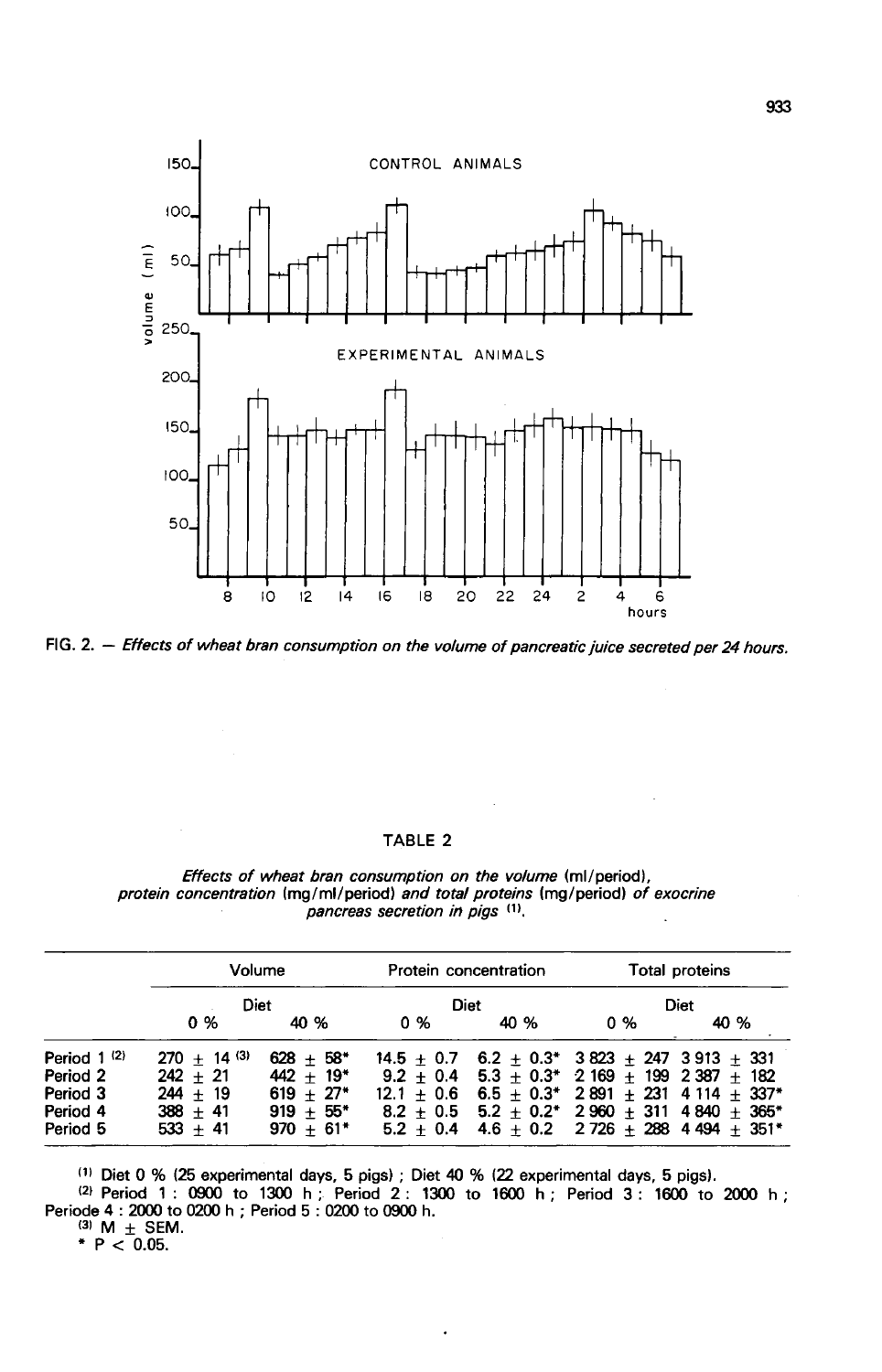

FIG. 2. - Effects of wheat bran consumption on the volume of pancreatic juice secreted per 24 hours.

#### TABLE 2

 $\mathcal{A}$ 

 $\ddot{\phantom{a}}$ 

|                                 |  | <i>Effects of wheat bran consumption on the volume (ml/period),</i>             |  |  |  |  |
|---------------------------------|--|---------------------------------------------------------------------------------|--|--|--|--|
|                                 |  | protein concentration (mq/ml/period) and total proteins (mq/period) of exocrine |  |  |  |  |
| pancreas secretion in pigs (1). |  |                                                                                 |  |  |  |  |

|                  | Volume<br>Diet |             | Protein concentration<br>Diet |      | Total proteins<br>Diet |                                                              |
|------------------|----------------|-------------|-------------------------------|------|------------------------|--------------------------------------------------------------|
|                  |                |             |                               |      |                        |                                                              |
|                  | 0 %            | 40 %        | 0 %                           | 40 % | 0 %                    | 40 %                                                         |
| Period $1^{(2)}$ | $270 + 14$ (3) | $628 + 58*$ |                               |      |                        | $14.5 \pm 0.7$ 6.2 $\pm$ 0.3* 3 823 $\pm$ 247 3 913 + 331    |
| Period 2         | $242 + 21$     | $442 + 19*$ |                               |      |                        | $9.2 + 0.4$ 5.3 + 0.3* 2 169 + 199 2 387 + 182               |
| Period 3         | $244 + 19$     | $619 + 27*$ |                               |      |                        | $12.1 + 0.6$ 6.5 + 0.3* 2891 + 231 4 114 + 337*              |
| Period 4         | $388 + 41$     | $919 + 55*$ |                               |      |                        | $8.2 + 0.5$ 5.2 + 0.2* 2960 + 311 4840 + 365*                |
| Period 5         | $533 + 41$     | $970 + 61*$ |                               |      |                        | $5.2 \pm 0.4$ 4.6 $\pm$ 0.2 2 726 $\pm$ 288 4 494 $\pm$ 351* |

(1) Diet 0 % (25 experimental days, 5 pigs); Diet 40 % (22 experimental days, 5 pigs).<br>(2) Period 1: 0900 to 1300 h; Period 2: 1300 to 1600 h; Period 3: 1600 to 2000 h; Periode 4: 2000 to 0200 h; Period 5: 0200 to 0900 h.

 $\ddot{\phantom{1}}$ 

(3) M  $\pm$  SEM.<br>\* P < 0.05.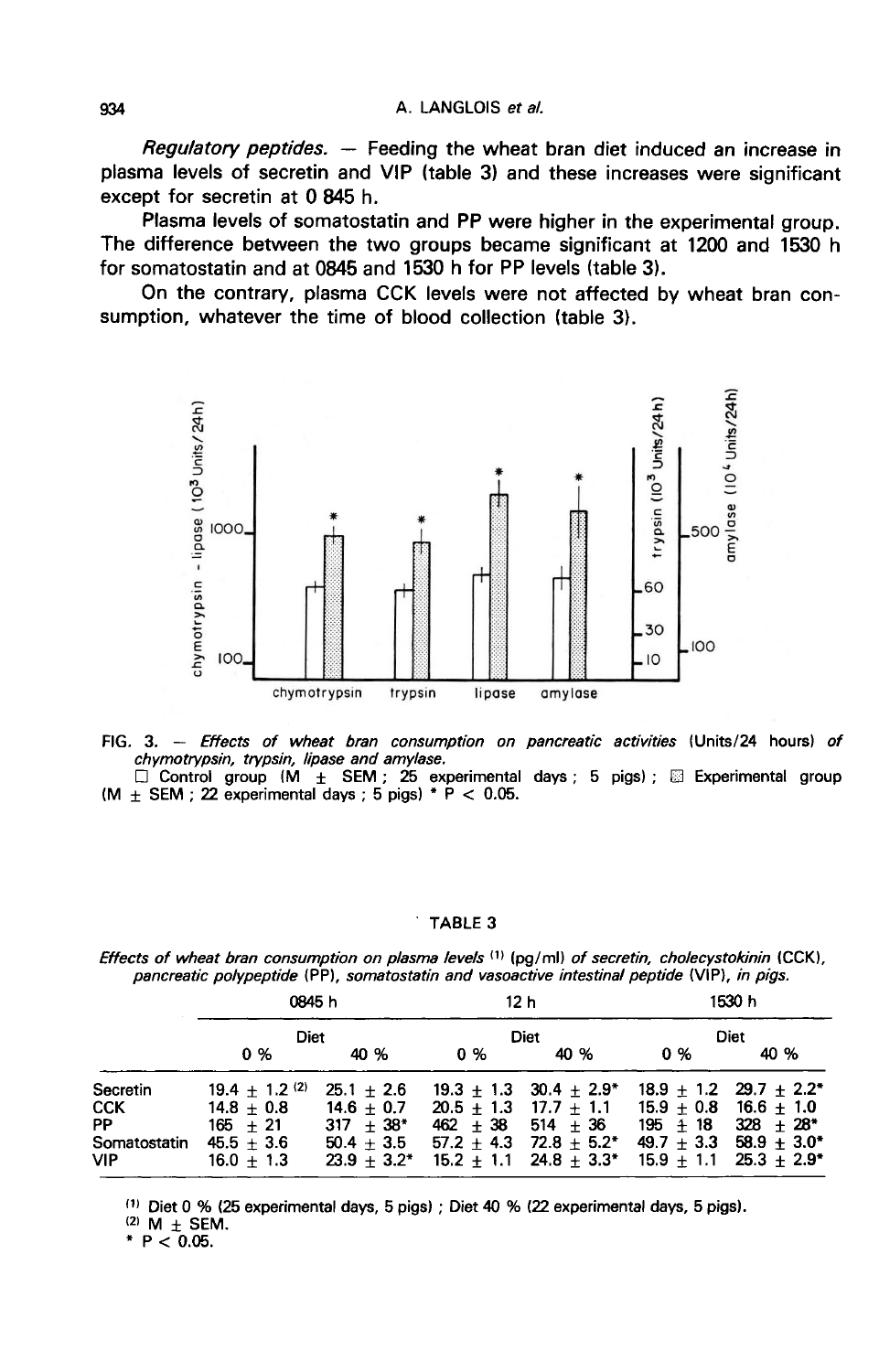Regulatory peptides. ― Feeding the wheat bran diet induced an increase in plasma levels of secretin and VIP (table 3) and these increases were significant except for secretin at 0 845 h.

Plasma levels of somatostatin and PP were higher in the experimental group. The difference between the two groups became significant at 1200 and 1530 h for somatostatin and at 0845 and 1530 h for PP levels (table 3).

On the contrary, plasma CCK levels were not affected by wheat bran consumption, whatever the time of blood collection (table 3).



- FIG. 3. Effects of wheat bran consumption on pancreatic activities (Units/24 hours) of chymotrypsin, trypsin, lipase and amylase.
- Control group (M  $\pm$  SEM; 25 experimental days; 5 pigs); <br>
(M  $\pm$  SEM; 25 experimental days; 5 pigs); <br>
(M  $\pm$  SEM; 22 experimental days; 5 pigs) \* P < 0.05.

#### TABLE 3

Effects of wheat bran consumption on plasma levels (1) (pg/ml) of secretin, cholecystokinin (CCK), pancreatic polypeptide (PP), somatostatin and vasoactive intestinal peptide (VIP), in pigs.

|                        | <b>0845 h</b><br><b>Diet</b>     |                              | 12 h<br>Diet          |                                                                                  | 1530 n<br><b>Diet</b> |                                                     |
|------------------------|----------------------------------|------------------------------|-----------------------|----------------------------------------------------------------------------------|-----------------------|-----------------------------------------------------|
|                        |                                  |                              |                       |                                                                                  |                       |                                                     |
|                        | 0 %                              | 40 %                         | 0 %                   | 40 %                                                                             | 0 %                   | 40 %                                                |
| Secretin<br><b>CCK</b> | $19.4 + 1.2$ (2)<br>$14.8 + 0.8$ | $25.1 + 2.6$<br>$14.6 + 0.7$ |                       | $19.3 + 1.3$ $30.4 + 2.9^*$<br>$20.5 + 1.3$ 17.7 + 1.1 15.9 + 0.8 16.6 $\pm$ 1.0 |                       | $18.9 + 1.2$ 29.7 $\pm$ 2.2*                        |
| PP<br>Somatostatin     | $165 + 21$<br>$45.5 + 3.6$       | $317 + 38*$<br>$50.4 + 3.5$  | $462 + 38 + 514 + 36$ | $57.2 + 4.3$ 72.8 + 5.2*                                                         |                       | $195 + 18$ $328 + 28$ *<br>$49.7 + 3.3$ 58.9 + 3.0* |
| VIP.                   | $16.0 + 1.3$                     |                              |                       | $23.9 + 3.2^*$ 15.2 + 1.1 24.8 + 3.3* 15.9 + 1.1 25.3 $\pm$ 2.9*                 |                       |                                                     |

(1) Diet 0 % (25 experimental days, 5 pigs); Diet 40 % (22 experimental days, 5 pigs).

 $(2)$  M  $\pm$  SEM.

\*  $P < 0.05$ .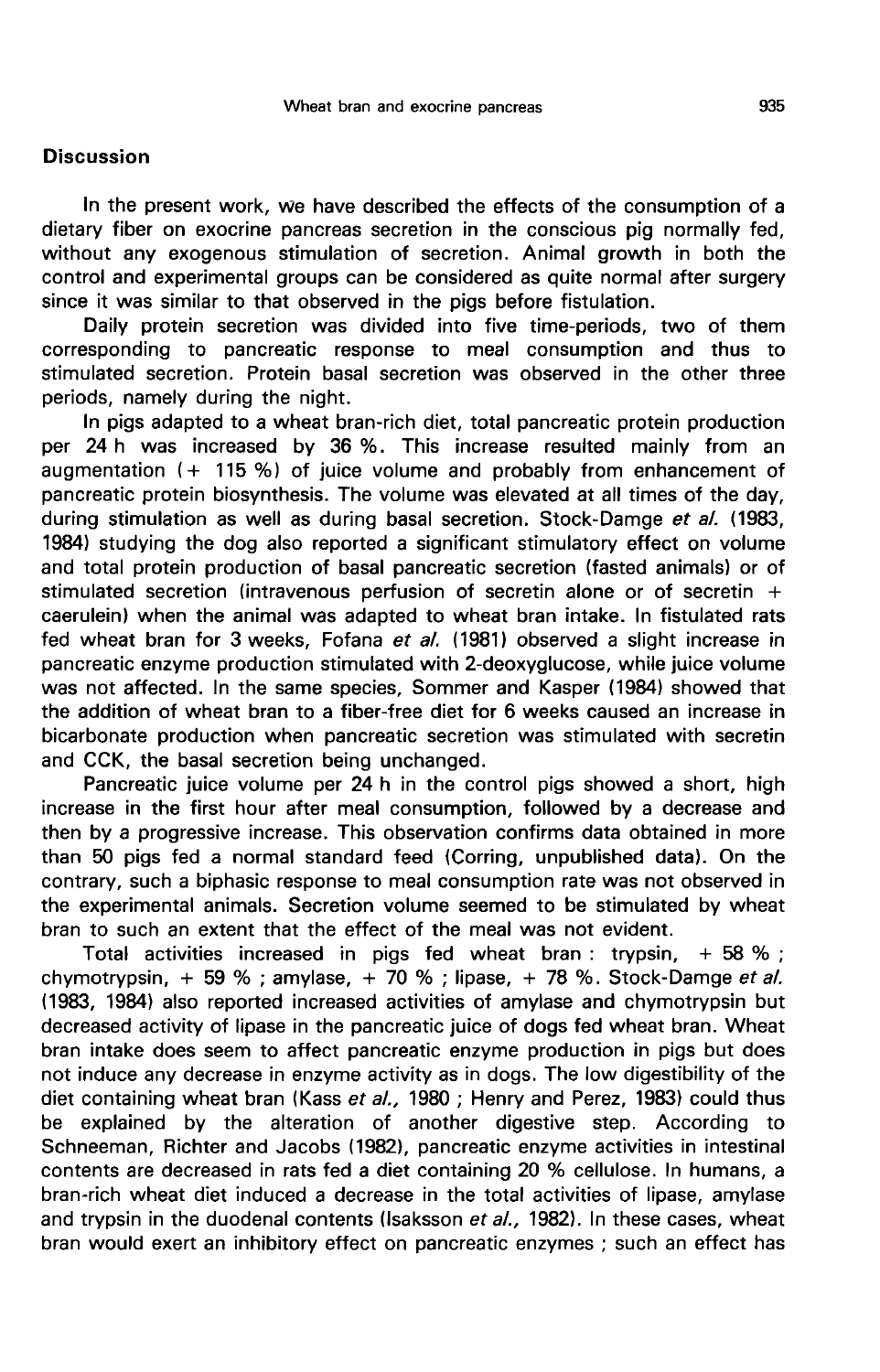### **Discussion**

In the present work, we have described the effects of the consumption of a dietary fiber on exocrine pancreas secretion in the conscious pig normally fed, without any exogenous stimulation of secretion. Animal growth in both the control and experimental groups can be considered as quite normal after surgery since it was similar to that observed in the pigs before fistulation.

Daily protein secretion was divided into five time-periods, two of them corresponding to pancreatic response to meal consumption and thus to stimulated secretion. Protein basal secretion was observed in the other three periods, namely during the night.

In pigs adapted to a wheat bran-rich diet, total pancreatic protein production per 24 h was increased by 36 %. This increase resulted mainly from an augmentation  $(+ 115 %)$  of juice volume and probably from enhancement of pancreatic protein biosynthesis. The volume was elevated at all times of the day, during stimulation as well as during basal secretion. Stock-Damge et al. (1983, 1984) studying the dog also reported a significant stimulatory effect on volume and total protein production of basal pancreatic secretion (fasted animals) or of stimulated secretion (intravenous perfusion of secretin alone or of secretin  $+$ caerulein) when the animal was adapted to wheat bran intake. In fistulated rats fed wheat bran for 3 weeks, Fofana et al. (1981) observed a slight increase in pancreatic enzyme production stimulated with 2-deoxyglucose, while juice volume was not affected. In the same species, Sommer and Kasper (1984) showed that the addition of wheat bran to a fiber-free diet for 6 weeks caused an increase in bicarbonate production when pancreatic secretion was stimulated with secretin and CCK, the basal secretion being unchanged.

Pancreatic juice volume per 24 h in the control pigs showed a short, high increase in the first hour after meal consumption, followed by a decrease and then by a progressive increase. This observation confirms data obtained in more than 50 pigs fed a normal standard feed (Corring, unpublished data). On the contrary, such a biphasic response to meal consumption rate was not observed in the experimental animals. Secretion volume seemed to be stimulated by wheat bran to such an extent that the effect of the meal was not evident.

Total activities increased in pigs fed wheat bran : trypsin,  $+58\%$ ; chymotrypsin,  $+59\%$ ; amylase,  $+70\%$ ; lipase,  $+78\%$ . Stock-Damge et al. (1983, 1984) also reported increased activities of amylase and chymotrypsin but decreased activity of lipase in the pancreatic juice of dogs fed wheat bran. Wheat bran intake does seem to affect pancreatic enzyme production in pigs but does not induce any decrease in enzyme activity as in dogs. The low digestibility of the diet containing wheat bran (Kass et al., 1980 ; Henry and Perez, 1983) could thus be explained by the alteration of another digestive step. According to Schneeman, Richter and Jacobs (1982), pancreatic enzyme activities in intestinal contents are decreased in rats fed a diet containing 20 % cellulose. In humans, a bran-rich wheat diet induced a decrease in the total activities of lipase, amylase and trypsin in the duodenal contents (Isaksson et al., 1982). In these cases, wheat bran would exert an inhibitory effect on pancreatic enzymes ; such an effect has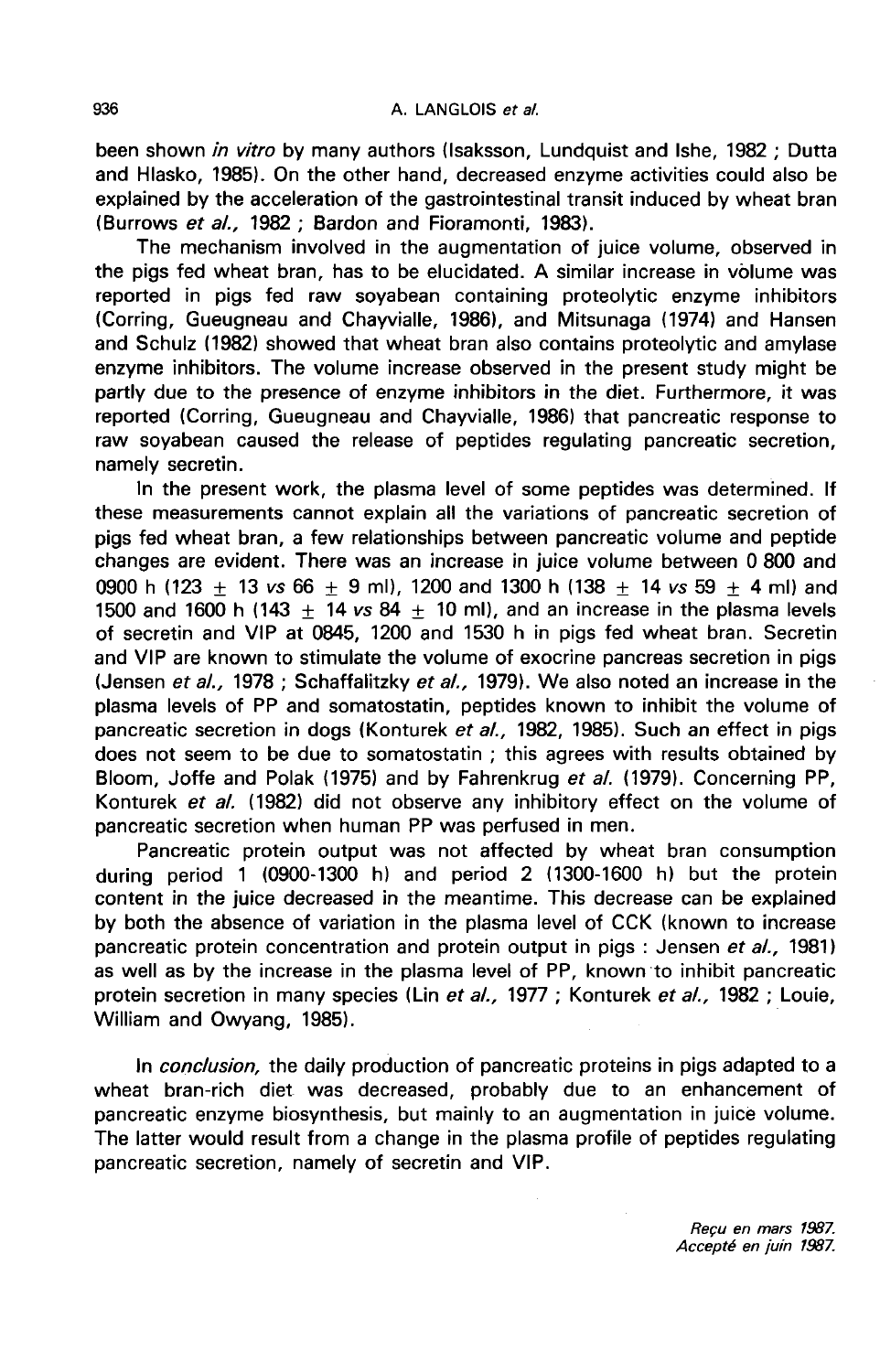been shown *in vitro* by many authors (Isaksson, Lundquist and Ishe, 1982 ; Dutta and Hlasko, 1985). On the other hand, decreased enzyme activities could also be explained by the acceleration of the gastrointestinal transit induced by wheat bran (Burrows et al., 1982 ; Bardon and Fioramonti, 1983).

The mechanism involved in the augmentation of juice volume, observed in the pigs fed wheat bran, has to be elucidated. A similar increase in volume was reported in pigs fed raw soyabean containing proteolytic enzyme inhibitors (Corring, Gueugneau and Chayvialle, 1986), and Mitsunaga (1974) and Hansen and Schulz (1982) showed that wheat bran also contains proteolytic and amylase enzyme inhibitors. The volume increase observed in the present study might be partly due to the presence of enzyme inhibitors in the diet. Furthermore, it was reported (Corring, Gueugneau and Chayvialle, 1986) that pancreatic response to raw soyabean caused the release of peptides regulating pancreatic secretion, namely secretin.

In the present work, the plasma level of some peptides was determined. If these measurements cannot explain all the variations of pancreatic secretion of pigs fed wheat bran, a few relationships between pancreatic volume and peptide changes are evident. There was an increase in juice volume between 0 800 and 0900 h (123  $\pm$  13 vs 66  $\pm$  9 ml), 1200 and 1300 h (138  $\pm$  14 vs 59  $\pm$  4 ml) and 1500 and 1600 h (143  $+$  14 vs 84  $+$  10 ml), and an increase in the plasma levels of secretin and VIP at 0845, 1200 and 1530 h in pigs fed wheat bran. Secretin and VIP are known to stimulate the volume of exocrine pancreas secretion in pigs (Jensen et al., 1978 ; Schaffalitzky et al., 1979). We also noted an increase in the plasma levels of PP and somatostatin, peptides known to inhibit the volume of pancreatic secretion in dogs (Konturek et al., 1982, 1985). Such an effect in pigs does not seem to be due to somatostatin ; this agrees with results obtained by Bloom, Joffe and Polak (1975) and by Fahrenkrug et al. (1979). Concerning PP, Konturek et al. (1982) did not observe any inhibitory effect on the volume of pancreatic secretion when human PP was perfused in men.

Pancreatic protein output was not affected by wheat bran consumption during period 1 (0900-1300 h) and period 2 (1300-1600 h) but the protein content in the juice decreased in the meantime. This decrease can be explained by both the absence of variation in the plasma level of CCK (known to increase pancreatic protein concentration and protein output in pigs : Jensen et al., 1981) as well as by the increase in the plasma level of PP, known to inhibit pancreatic protein secretion in many species (Lin et al., 1977 ; Konturek et al., 1982 ; Louie, William and Owyang, 1985).

In *conclusion*, the daily production of pancreatic proteins in pigs adapted to a wheat bran-rich diet was decreased, probably due to an enhancement of pancreatic enzyme biosynthesis, but mainly to an augmentation in juice volume. The latter would result from a change in the plasma profile of peptides regulating pancreatic secretion, namely of secretin and VIP.

> Requ en mars 1987. Accepté en juin 1987.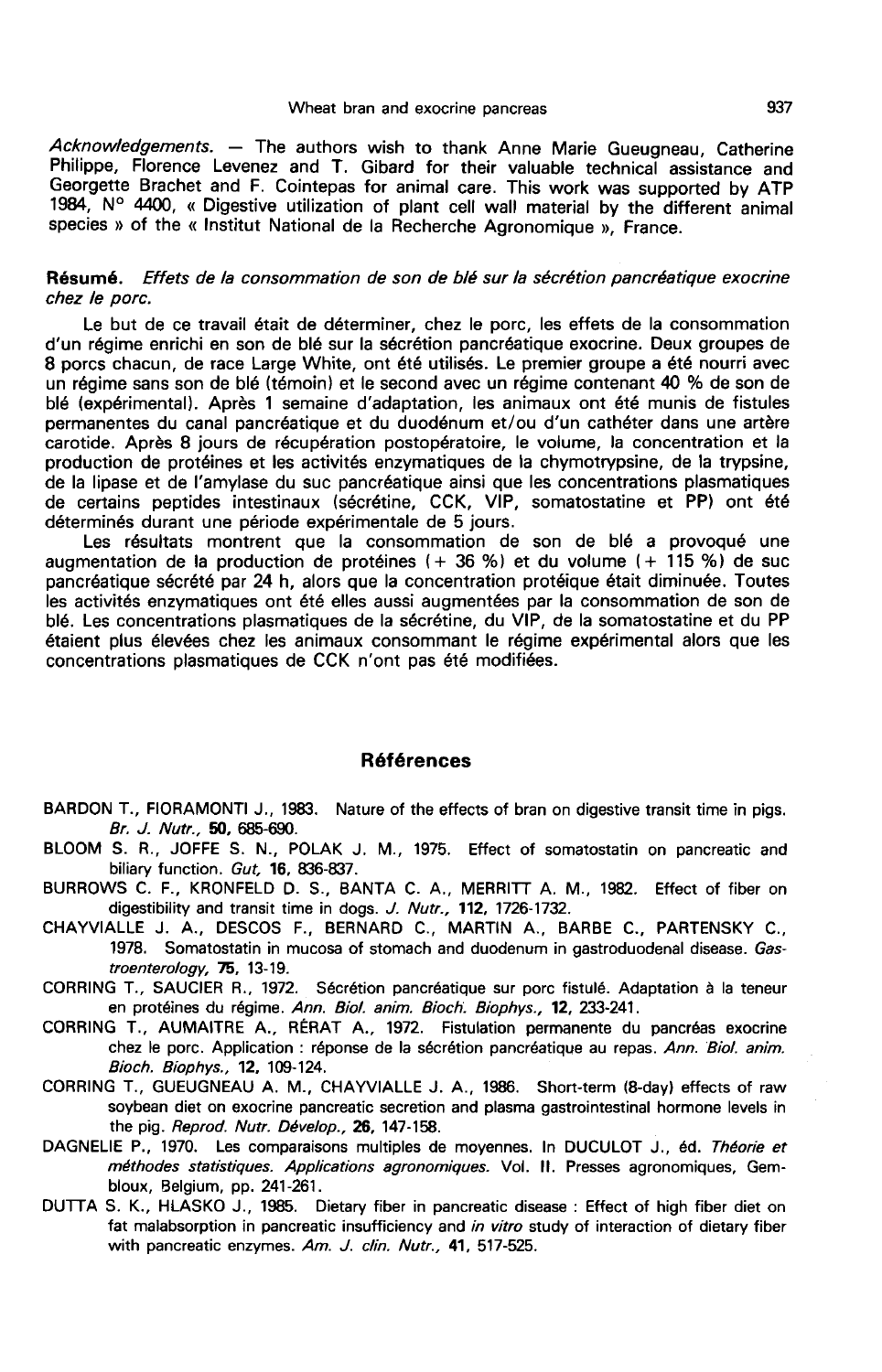Acknowledgements. — The authors wish to thank Anne Marie Gueugneau, Catherine Philippe, Florence Levenez and T. Gibard for their valuable technical assistance and Georgette Brachet and F. Cointepas for animal care. This work was supported by ATP 1984, N° 4400, « Digestive utilization of plant cell wall material by the different animal species » of the « Institut National de la Recherche Agronomique », France.

#### Résumé. Effets de la consommation de son de blé sur la sécrétion pancréatique exocrine chez le porc.

Le but de ce travail était de déterminer, chez le porc, les effets de la consommation d'un régime enrichi en son de blé sur la sécrétion pancréatique exocrine. Deux groupes de 8 porcs chacun, de race Large White, ont été utilisés. Le premier groupe a été nourri avec un régime sans son de blé (témoin) et le second avec un régime contenant 40 % de son de blé (expérimental). Après 1 semaine d'adaptation, les animaux ont été munis de fistules permanentes du canal pancréatique et du duodénum et/ou d'un cathéter dans une artère carotide. Après 8 jours de récupération postopératoire, le volume, la concentration et la production de protéines et les activités enzymatiques de la chymotrypsine, de la trypsine, de la lipase et de l'amylase du suc pancréatique ainsi que les concentrations plasmatiques de certains peptides intestinaux (sécrétine, CCK, VIP, somatostatine et PP) ont été déterminés durant une période expérimentale de 5 jours.

Les résultats montrent que la consommation de son de blé a provoqué une augmentation de la production de protéines  $(+36%)$  et du volume  $(+115%)$  de suc pancréatique sécrété par 24 h, alors que la concentration protéique était diminuée. Toutes les activités enzymatiques ont été elles aussi augmentées par la consommation de son de blé. Les concentrations plasmatiques de la sécrétine, du VIP, de la somatostatine et du PP étaient plus élevées chez les animaux consommant le régime expérimental alors que les concentrations plasmatiques de CCK n'ont pas été modifiées.

#### Références

- BARDON T., FIORAMONTI J., 1983. Nature of the effects of bran on digestive transit time in pigs. Br. J. Nutr., 50, 685-690.
- BLOOM S. R., JOFFE S. N., POLAK J. M., 1975. Effect of somatostatin on pancreatic and biliary function. Gut, 16, 836-837.
- BURROWS C. F., KRONFELD D. S., BANTA C. A., MERRITT A. M., 1982. Effect of fiber on digestibility and transit time in dogs. J. Nutr., 112, 1726-1732.
- CHAYVIALLE J. A., DESCOS F., BERNARD C., MARTIN A., BARBE C., PARTENSKY C., 1978. Somatostatin in mucosa of stomach and duodenum in gastroduodenal disease. Gas $troenterology, 75, 13-19.$
- CORRING T., SAUCIER R., 1972. Sécrétion pancréatique sur porc fistulé. Adaptation à la teneur en protéines du régime. Ann. Biol. anim. Bioch. Biophys., 12, 233-241.
- CORRING T., AUMAITRE A., RÉRAT A., 1972. Fistulation permanente du pancréas exocrine chez le porc. Application : réponse de la sécrétion pancréatique au repas. Ann. Biol. anim. Bioch. Biophys., 12, 109-124.
- CORRING T., GUEUGNEAU A. M., CHAYVIALLE J. A., 1986. Short-term (8-day) effects of raw soybean diet on exocrine pancreatic secretion and plasma gastrointestinal hormone levels in the pig. Reprod. Nutr. Dévelop., 26, 147-158.
- DAGNELIE P., 1970. Les comparaisons multiples de moyennes. In DUCULOT J., éd. Théorie et méthodes statistiques. Applications agronomiques. Vol. Il. Presses agronomiques, Gembloux, Belgium, pp. 241-261.
- DUTTA S. K., HLASKO J., 1985. Dietary fiber in pancreatic disease : Effect of high fiber diet on fat malabsorption in pancreatic insufficiency and in vitro study of interaction of dietary fiber with pancreatic enzymes. Am. J. clin. Nutr., 41, 517-525.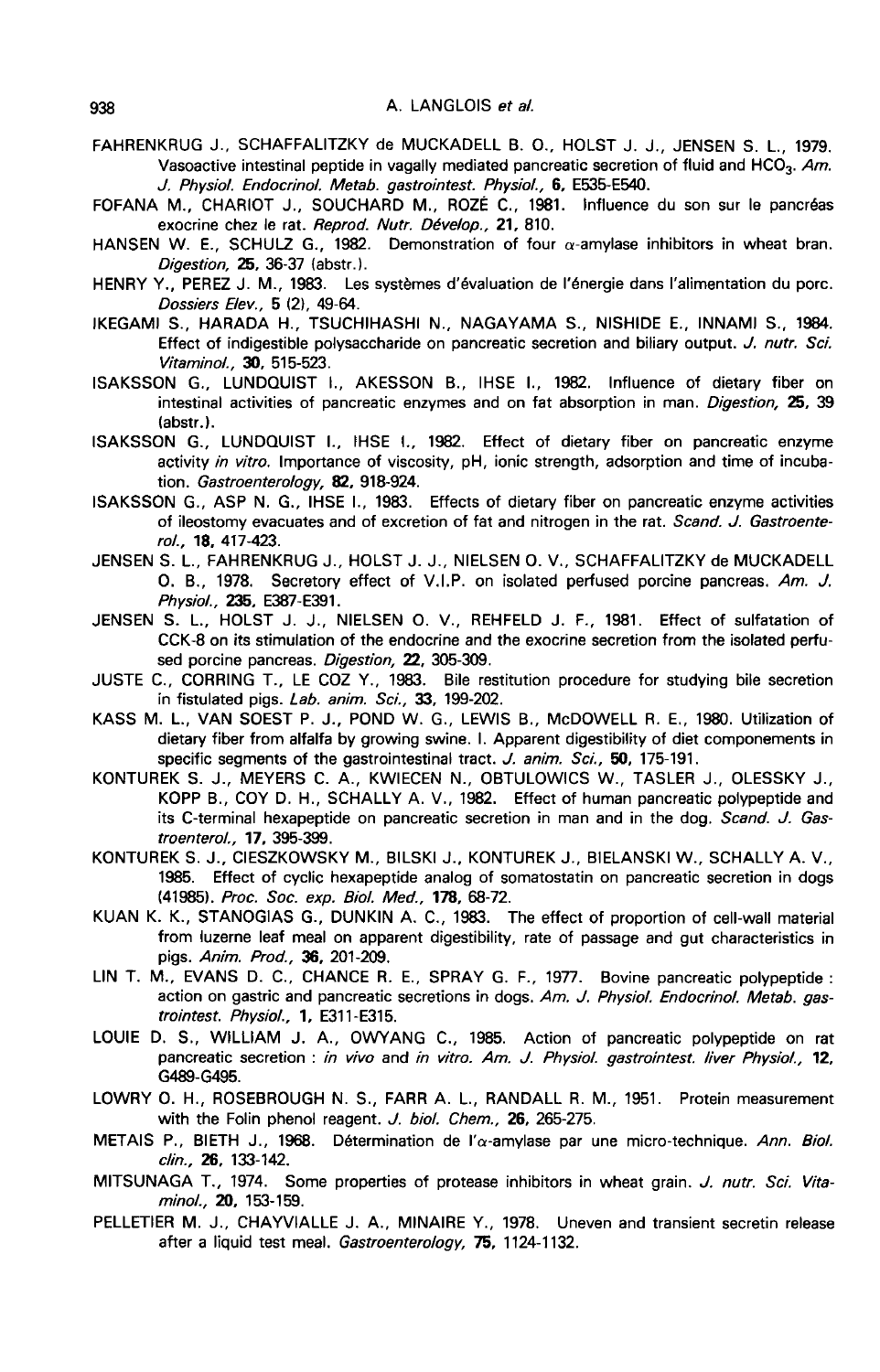- FAHR ENKRUG J., SCHAFFALITZKY de MUCKADELL B. O., HOLST J. J., JENSEN S. L., 1979. Vasoactive intestinal peptide in vagally mediated pancreatic secretion of fluid and HCO<sub>3</sub>. Am. J. Physiol. Endocrinol. Metab. gastrointest. Physiol., 6, E535-E540.
- FOFANA M., CHARIOT J., SOUCHARD M., ROZÉ C., 1981. Influence du son sur le pancréas exocrine chez le rat. Reprod. Nutr. Dévelop., 21, 810.
- HANSEN W. E., SCHULZ G., 1982. Demonstration of four  $\alpha$ -amylase inhibitors in wheat bran. Digestion, 25, 36-37 (abstr.).
- HENRY Y., PEREZ J. M., 1983. Les systèmes d'évaluation de l'énergie dans l'alimentation du porc. Dossiers Elev., 5 (2), 49-64.
- IKEGAMI S., HARADA H., TSUCHIHASHI N., NAGAYAMA S., NISHIDE E., INNAMI S., 1984. Effect of indigestible polysaccharide on pancreatic secretion and biliary output. J. nutr. Sci. Vitaminol., 30, 515-523.
- ISAKSSON G., LUNDOUIST L, AKESSON B., IHSE L, 1982. Influence of dietary fiber on intestinal activities of pancreatic enzymes and on fat absorption in man. Digestion, 25, 39 (abstr.).
- ISAKSSON G., LUNDQUIST L, IHSE L, 1982. Effect of dietary fiber on pancreatic enzyme activity in vitro. Importance of viscosity, pH, ionic strength, adsorption and time of incubation. Gastroenterology, 82, 918-924.
- ISAKSSON G., ASP N. G., IHSE L, 1983. Effects of dietary fiber on pancreatic enzyme activities of ileostomy evacuates and of excretion of fat and nitrogen in the rat. Scand. J. Gastroenterol., 18, 417-423.
- JENSEN S. L., FAHRENKRUG J., HOLST J. J., NIELSEN 0. V., SCHAFFALITZKY de MUCKADELL 0. B., 1978. Secretory effect of V.I.P. on isolated perfused porcine pancreas. Am. J. Physiol., 235, E387-E391.
- JENSEN S. L., HOLST J. J., NIELSEN O. V., REHFELD J. F., 1981. Effect of sulfatation of CCK-8 on its stimulation of the endocrine and the exocrine secretion from the isolated perfused porcine pancreas. Digestion, 22, 305-309.
- JUSTE C., CORRING T., LE COZ Y., 1983. Bile restitution procedure for studying bile secretion in fistulated pigs. Lab. anim. Sci., 33, 199-202.
- KASS M. L., VAN SOEST P. J., POND W. G., LEWIS B., McDOWELL R. E., 1980. Utilization of dietary fiber from alfalfa by growing swine. I. Apparent digestibility of diet componements in specific segments of the gastrointestinal tract. J. anim. Sci., 50, 175-191.
- KONTUREK S. J., MEYERS C. A., KWIECEN N., OBTULOWICS W., TASLER J., OLESSKY J., KOPP B., COY D. H., SCHALLY A. V., 1982. Effect of human pancreatic polypeptide and its C-terminal hexapeptide on pancreatic secretion in man and in the dog. Scand. J. Gastroenterol., 17, 395-399.
- KONTUREK S. J., CIESZKOWSKY M., BILSKI J., KONTUREK J., BIELANSKI W., SCHALLY A. V., 1985. Effect of cyclic hexapeptide analog of somatostatin on pancreatic secretion in dogs (41985). Proc. Soc. exp. Biol. Med., 178, 68-72.
- KUAN K. K., STANOGIAS G., DUNKIN A. C., 1983. The effect of proportion of cell-wall material from luzerne leaf meal on apparent digestibility, rate of passage and gut characteristics in pigs. Anim. Prod., 36, 201-209.
- LIN T. M., EVANS D. C., CHANCE R. E., SPRAY G. F., 1977. Bovine pancreatic polypeptide : action on gastric and pancreatic secretions in dogs. Am. J. Physiol. Endocrinol. Metab. gastrointest. Physiol., 1, E311-E315.
- LOUIE D. S., WILLIAM J. A., OWYANG C., 1985. Action of pancreatic polypeptide on rat pancreatic secretion : in vivo and in vitro. Am. J. Physiol. gastrointest. liver Physiol., 12, G489-G495.
- LOWRY 0. H., ROSEBROUGH N. S., FARR A. L., RANDALL R. M., 1951. Protein measurement with the Folin phenol reagent. J. biol. Chem., 26, 265-275.
- METAIS P., BIETH J., 1968. Détermination de l' $\alpha$ -amylase par une micro-technique. Ann. Biol. clin., 26, 133-142.
- MITSUNAGA T., 1974. Some properties of protease inhibitors in wheat grain. J. nutr. Sci. Vitaminol., 20, 153-159.
- PELLETIER M. J., CHAYVIALLE J. A., MINAIRE Y., 1978. Uneven and transient secretin release after a liquid test meal. Gastroenterology, 75, 1124-1132.